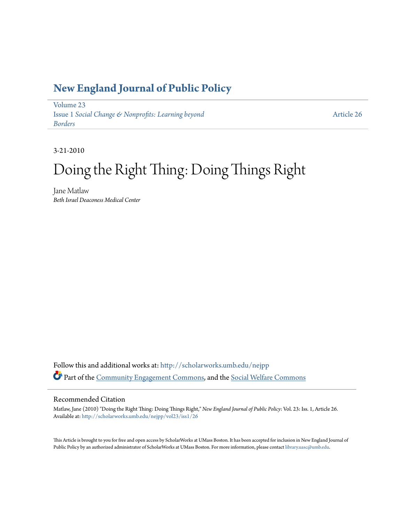### **[New England Journal of Public Policy](http://scholarworks.umb.edu/nejpp?utm_source=scholarworks.umb.edu%2Fnejpp%2Fvol23%2Fiss1%2F26&utm_medium=PDF&utm_campaign=PDFCoverPages)**

[Volume 23](http://scholarworks.umb.edu/nejpp/vol23?utm_source=scholarworks.umb.edu%2Fnejpp%2Fvol23%2Fiss1%2F26&utm_medium=PDF&utm_campaign=PDFCoverPages) Issue 1 *[Social Change & Nonprofits: Learning beyond](http://scholarworks.umb.edu/nejpp/vol23/iss1?utm_source=scholarworks.umb.edu%2Fnejpp%2Fvol23%2Fiss1%2F26&utm_medium=PDF&utm_campaign=PDFCoverPages) [Borders](http://scholarworks.umb.edu/nejpp/vol23/iss1?utm_source=scholarworks.umb.edu%2Fnejpp%2Fvol23%2Fiss1%2F26&utm_medium=PDF&utm_campaign=PDFCoverPages)*

[Article 26](http://scholarworks.umb.edu/nejpp/vol23/iss1/26?utm_source=scholarworks.umb.edu%2Fnejpp%2Fvol23%2Fiss1%2F26&utm_medium=PDF&utm_campaign=PDFCoverPages)

3-21-2010

# Doing the Right Thing: Doing Things Right

Jane Matlaw *Beth Israel Deaconess Medical Center*

Follow this and additional works at: [http://scholarworks.umb.edu/nejpp](http://scholarworks.umb.edu/nejpp?utm_source=scholarworks.umb.edu%2Fnejpp%2Fvol23%2Fiss1%2F26&utm_medium=PDF&utm_campaign=PDFCoverPages) Part of the [Community Engagement Commons](http://network.bepress.com/hgg/discipline/1028?utm_source=scholarworks.umb.edu%2Fnejpp%2Fvol23%2Fiss1%2F26&utm_medium=PDF&utm_campaign=PDFCoverPages), and the [Social Welfare Commons](http://network.bepress.com/hgg/discipline/401?utm_source=scholarworks.umb.edu%2Fnejpp%2Fvol23%2Fiss1%2F26&utm_medium=PDF&utm_campaign=PDFCoverPages)

#### Recommended Citation

Matlaw, Jane (2010) "Doing the Right Thing: Doing Things Right," *New England Journal of Public Policy*: Vol. 23: Iss. 1, Article 26. Available at: [http://scholarworks.umb.edu/nejpp/vol23/iss1/26](http://scholarworks.umb.edu/nejpp/vol23/iss1/26?utm_source=scholarworks.umb.edu%2Fnejpp%2Fvol23%2Fiss1%2F26&utm_medium=PDF&utm_campaign=PDFCoverPages)

This Article is brought to you for free and open access by ScholarWorks at UMass Boston. It has been accepted for inclusion in New England Journal of Public Policy by an authorized administrator of ScholarWorks at UMass Boston. For more information, please contact [library.uasc@umb.edu](mailto:library.uasc@umb.edu).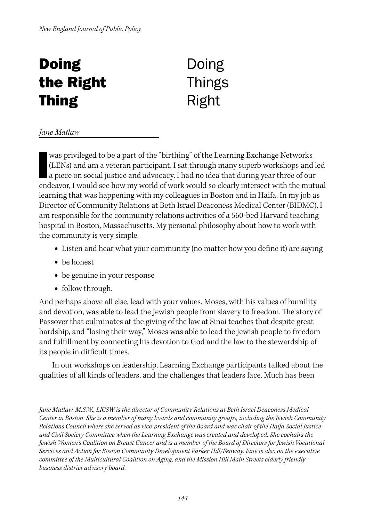## **Doing** the Right Thing

### Doing **Things** Right

#### *Jane Matlaw*

was privileged to be a part of the "birthing" of the Learning Exchange Networks (LENs) and am a veteran participant. I sat through many superb workshops and l<br>a piece on social justice and advocacy. I had no idea that duri (LENs) and am a veteran participant. I sat through many superb workshops and led endeavor, I would see how my world of work would so clearly intersect with the mutual learning that was happening with my colleagues in Boston and in Haifa. In my job as Director of Community Relations at Beth Israel Deaconess Medical Center (BIDMC), I am responsible for the community relations activities of a 560-bed Harvard teaching hospital in Boston, Massachusetts. My personal philosophy about how to work with the community is very simple.

- **•** Listen and hear what your community (no matter how you define it) are saying
- **•** be honest
- **•** be genuine in your response
- **•** follow through.

And perhaps above all else, lead with your values. Moses, with his values of humility and devotion, was able to lead the Jewish people from slavery to freedom. The story of Passover that culminates at the giving of the law at Sinai teaches that despite great hardship, and "losing their way," Moses was able to lead the Jewish people to freedom and fulfillment by connecting his devotion to God and the law to the stewardship of its people in difficult times.

In our workshops on leadership, Learning Exchange participants talked about the qualities of all kinds of leaders, and the challenges that leaders face. Much has been

*Jane Matlaw, M.S.W., LICSW is the director of Community Relations at Beth Israel Deaconess Medical Center in Boston. She is a member of many boards and community groups, including the Jewish Community Relations Council where she served as vice-president of the Board and was chair of the Haifa Social Justice and Civil Society Committee when the Learning Exchange was created and developed. She cochairs the Jewish Women's Coalition on Breast Cancer and is a member of the Board of Directors for Jewish Vocational Services and Action for Boston Community Development Parker Hill/Fenway. Jane is also on the executive committee of the Multicultural Coalition on Aging, and the Mission Hill Main Streets elderly friendly business district advisory board.*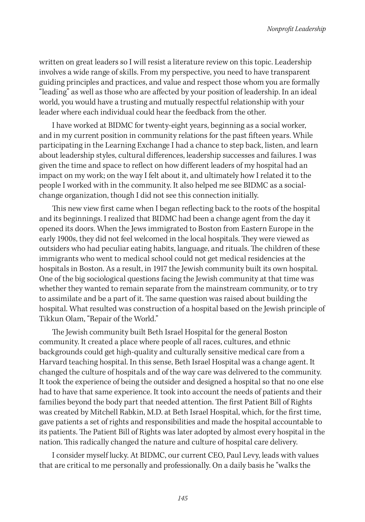written on great leaders so I will resist a literature review on this topic. Leadership involves a wide range of skills. From my perspective, you need to have transparent guiding principles and practices, and value and respect those whom you are formally "leading" as well as those who are affected by your position of leadership. In an ideal world, you would have a trusting and mutually respectful relationship with your leader where each individual could hear the feedback from the other.

I have worked at BIDMC for twenty-eight years, beginning as a social worker, and in my current position in community relations for the past fifteen years. While participating in the Learning Exchange I had a chance to step back, listen, and learn about leadership styles, cultural differences, leadership successes and failures. I was given the time and space to reflect on how different leaders of my hospital had an impact on my work; on the way I felt about it, and ultimately how I related it to the people I worked with in the community. It also helped me see BIDMC as a socialchange organization, though I did not see this connection initially.

This new view first came when I began reflecting back to the roots of the hospital and its beginnings. I realized that BIDMC had been a change agent from the day it opened its doors. When the Jews immigrated to Boston from Eastern Europe in the early 1900s, they did not feel welcomed in the local hospitals. They were viewed as outsiders who had peculiar eating habits, language, and rituals. The children of these immigrants who went to medical school could not get medical residencies at the hospitals in Boston. As a result, in 1917 the Jewish community built its own hospital. One of the big sociological questions facing the Jewish community at that time was whether they wanted to remain separate from the mainstream community, or to try to assimilate and be a part of it. The same question was raised about building the hospital. What resulted was construction of a hospital based on the Jewish principle of Tikkun Olam, "Repair of the World."

The Jewish community built Beth Israel Hospital for the general Boston community. It created a place where people of all races, cultures, and ethnic backgrounds could get high-quality and culturally sensitive medical care from a Harvard teaching hospital. In this sense, Beth Israel Hospital was a change agent. It changed the culture of hospitals and of the way care was delivered to the community. It took the experience of being the outsider and designed a hospital so that no one else had to have that same experience. It took into account the needs of patients and their families beyond the body part that needed attention. The first Patient Bill of Rights was created by Mitchell Rabkin, M.D. at Beth Israel Hospital, which, for the first time, gave patients a set of rights and responsibilities and made the hospital accountable to its patients. The Patient Bill of Rights was later adopted by almost every hospital in the nation. This radically changed the nature and culture of hospital care delivery.

I consider myself lucky. At BIDMC, our current CEO, Paul Levy, leads with values that are critical to me personally and professionally. On a daily basis he "walks the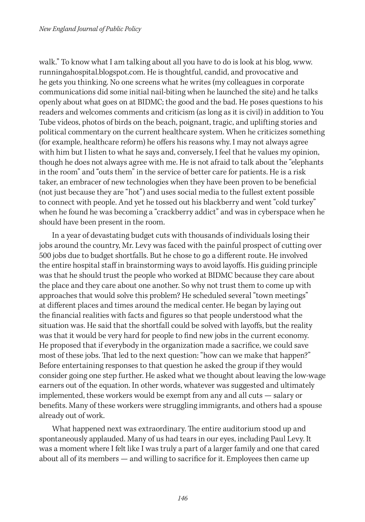walk." To know what I am talking about all you have to do is look at his blog, www. runningahospital.blogspot.com. He is thoughtful, candid, and provocative and he gets you thinking. No one screens what he writes (my colleagues in corporate communications did some initial nail-biting when he launched the site) and he talks openly about what goes on at BIDMC; the good and the bad. He poses questions to his readers and welcomes comments and criticism (as long as it is civil) in addition to You Tube videos, photos of birds on the beach, poignant, tragic, and uplifting stories and political commentary on the current healthcare system. When he criticizes something (for example, healthcare reform) he offers his reasons why. I may not always agree with him but I listen to what he says and, conversely, I feel that he values my opinion, though he does not always agree with me. He is not afraid to talk about the "elephants in the room" and "outs them" in the service of better care for patients. He is a risk taker, an embracer of new technologies when they have been proven to be beneficial (not just because they are "hot") and uses social media to the fullest extent possible to connect with people. And yet he tossed out his blackberry and went "cold turkey" when he found he was becoming a "crackberry addict" and was in cyberspace when he should have been present in the room.

In a year of devastating budget cuts with thousands of individuals losing their jobs around the country, Mr. Levy was faced with the painful prospect of cutting over 500 jobs due to budget shortfalls. But he chose to go a different route. He involved the entire hospital staff in brainstorming ways to avoid layoffs. His guiding principle was that he should trust the people who worked at BIDMC because they care about the place and they care about one another. So why not trust them to come up with approaches that would solve this problem? He scheduled several "town meetings" at different places and times around the medical center. He began by laying out the financial realities with facts and figures so that people understood what the situation was. He said that the shortfall could be solved with layoffs, but the reality was that it would be very hard for people to find new jobs in the current economy. He proposed that if everybody in the organization made a sacrifice, we could save most of these jobs. That led to the next question: "how can we make that happen?" Before entertaining responses to that question he asked the group if they would consider going one step further. He asked what we thought about leaving the low-wage earners out of the equation. In other words, whatever was suggested and ultimately implemented, these workers would be exempt from any and all cuts — salary or benefits. Many of these workers were struggling immigrants, and others had a spouse already out of work.

What happened next was extraordinary. The entire auditorium stood up and spontaneously applauded. Many of us had tears in our eyes, including Paul Levy. It was a moment where I felt like I was truly a part of a larger family and one that cared about all of its members — and willing to sacrifice for it. Employees then came up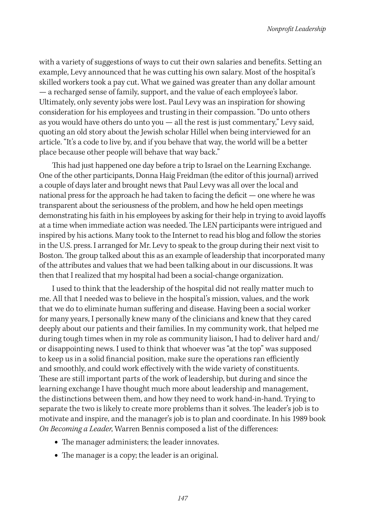with a variety of suggestions of ways to cut their own salaries and benefits. Setting an example, Levy announced that he was cutting his own salary. Most of the hospital's skilled workers took a pay cut. What we gained was greater than any dollar amount — a recharged sense of family, support, and the value of each employee's labor. Ultimately, only seventy jobs were lost. Paul Levy was an inspiration for showing consideration for his employees and trusting in their compassion. "Do unto others as you would have others do unto you  $-$  all the rest is just commentary," Levy said, quoting an old story about the Jewish scholar Hillel when being interviewed for an article. "It's a code to live by, and if you behave that way, the world will be a better place because other people will behave that way back."

This had just happened one day before a trip to Israel on the Learning Exchange. One of the other participants, Donna Haig Freidman (the editor of this journal) arrived a couple of days later and brought news that Paul Levy was all over the local and national press for the approach he had taken to facing the deficit — one where he was transparent about the seriousness of the problem, and how he held open meetings demonstrating his faith in his employees by asking for their help in trying to avoid layoffs at a time when immediate action was needed. The LEN participants were intrigued and inspired by his actions. Many took to the Internet to read his blog and follow the stories in the U.S. press. I arranged for Mr. Levy to speak to the group during their next visit to Boston. The group talked about this as an example of leadership that incorporated many of the attributes and values that we had been talking about in our discussions. It was then that I realized that my hospital had been a social-change organization.

I used to think that the leadership of the hospital did not really matter much to me. All that I needed was to believe in the hospital's mission, values, and the work that we do to eliminate human suffering and disease. Having been a social worker for many years, I personally knew many of the clinicians and knew that they cared deeply about our patients and their families. In my community work, that helped me during tough times when in my role as community liaison, I had to deliver hard and/ or disappointing news. I used to think that whoever was "at the top" was supposed to keep us in a solid financial position, make sure the operations ran efficiently and smoothly, and could work effectively with the wide variety of constituents. These are still important parts of the work of leadership, but during and since the learning exchange I have thought much more about leadership and management, the distinctions between them, and how they need to work hand-in-hand. Trying to separate the two is likely to create more problems than it solves. The leader's job is to motivate and inspire, and the manager's job is to plan and coordinate. In his 1989 book *On Becoming a Leader*, Warren Bennis composed a list of the differences:

- **•** The manager administers; the leader innovates.
- **•** The manager is a copy; the leader is an original.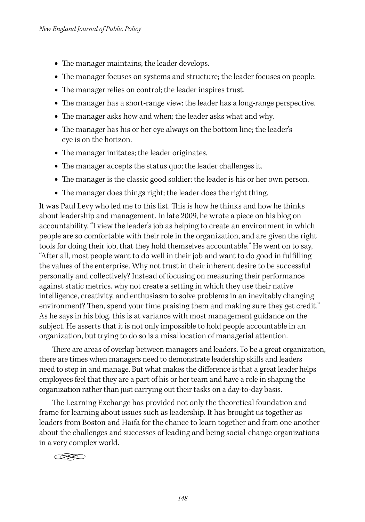- **•** The manager maintains; the leader develops.
- **•** The manager focuses on systems and structure; the leader focuses on people.
- **•** The manager relies on control; the leader inspires trust.
- **•** The manager has a short-range view; the leader has a long-range perspective.
- **•** The manager asks how and when; the leader asks what and why.
- **•** The manager has his or her eye always on the bottom line; the leader's eye is on the horizon.
- **•** The manager imitates; the leader originates.
- **•** The manager accepts the status quo; the leader challenges it.
- **•** The manager is the classic good soldier; the leader is his or her own person.
- **•** The manager does things right; the leader does the right thing.

It was Paul Levy who led me to this list. This is how he thinks and how he thinks about leadership and management. In late 2009, he wrote a piece on his blog on accountability. "I view the leader's job as helping to create an environment in which people are so comfortable with their role in the organization, and are given the right tools for doing their job, that they hold themselves accountable." He went on to say, "After all, most people want to do well in their job and want to do good in fulfilling the values of the enterprise. Why not trust in their inherent desire to be successful personally and collectively? Instead of focusing on measuring their performance against static metrics, why not create a setting in which they use their native intelligence, creativity, and enthusiasm to solve problems in an inevitably changing environment? Then, spend your time praising them and making sure they get credit." As he says in his blog, this is at variance with most management guidance on the subject. He asserts that it is not only impossible to hold people accountable in an organization, but trying to do so is a misallocation of managerial attention.

There are areas of overlap between managers and leaders. To be a great organization, there are times when managers need to demonstrate leadership skills and leaders need to step in and manage. But what makes the difference is that a great leader helps employees feel that they are a part of his or her team and have a role in shaping the organization rather than just carrying out their tasks on a day-to-day basis.

The Learning Exchange has provided not only the theoretical foundation and frame for learning about issues such as leadership. It has brought us together as leaders from Boston and Haifa for the chance to learn together and from one another about the challenges and successes of leading and being social-change organizations in a very complex world.

 $\infty$